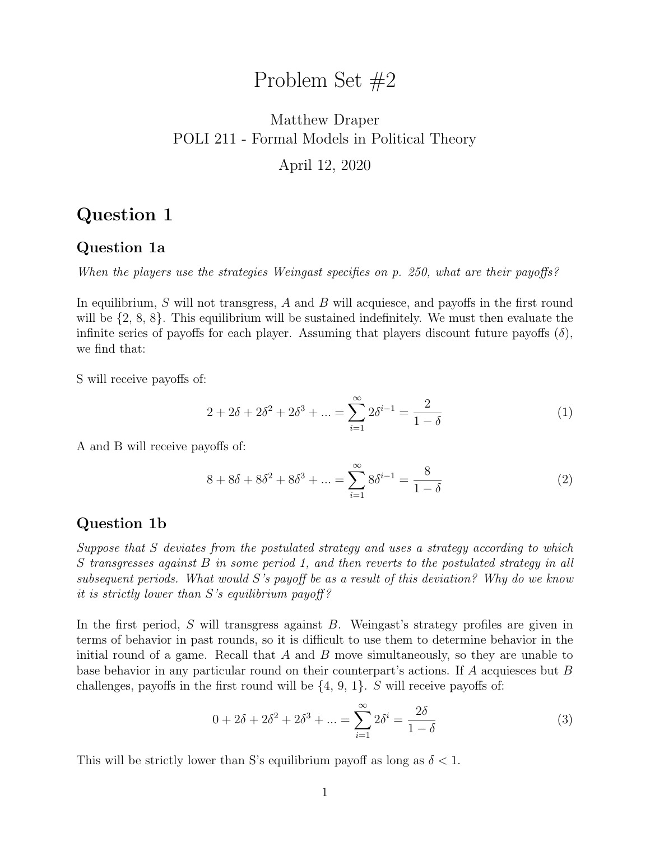## Problem Set #2

## Matthew Draper POLI 211 - Formal Models in Political Theory April 12, 2020

## Question 1

#### Question 1a

When the players use the strategies Weingast specifies on p. 250, what are their payoffs?

In equilibrium,  $S$  will not transgress,  $A$  and  $B$  will acquiesce, and payoffs in the first round will be  $\{2, 8, 8\}$ . This equilibrium will be sustained indefinitely. We must then evaluate the infinite series of payoffs for each player. Assuming that players discount future payoffs  $(\delta)$ , we find that:

S will receive payoffs of:

$$
2 + 2\delta + 2\delta^2 + 2\delta^3 + \dots = \sum_{i=1}^{\infty} 2\delta^{i-1} = \frac{2}{1 - \delta}
$$
 (1)

A and B will receive payoffs of:

$$
8 + 8\delta + 8\delta^2 + 8\delta^3 + \dots = \sum_{i=1}^{\infty} 8\delta^{i-1} = \frac{8}{1 - \delta}
$$
 (2)

#### Question 1b

Suppose that S deviates from the postulated strategy and uses a strategy according to which S transgresses against B in some period 1, and then reverts to the postulated strategy in all subsequent periods. What would S's payoff be as a result of this deviation? Why do we know it is strictly lower than  $S$ 's equilibrium payoff?

In the first period, S will transgress against B. Weingast's strategy profiles are given in terms of behavior in past rounds, so it is difficult to use them to determine behavior in the initial round of a game. Recall that  $A$  and  $B$  move simultaneously, so they are unable to base behavior in any particular round on their counterpart's actions. If A acquiesces but B challenges, payoffs in the first round will be  $\{4, 9, 1\}$ . S will receive payoffs of:

$$
0 + 2\delta + 2\delta^2 + 2\delta^3 + \dots = \sum_{i=1}^{\infty} 2\delta^i = \frac{2\delta}{1 - \delta}
$$
 (3)

This will be strictly lower than S's equilibrium payoff as long as  $\delta < 1$ .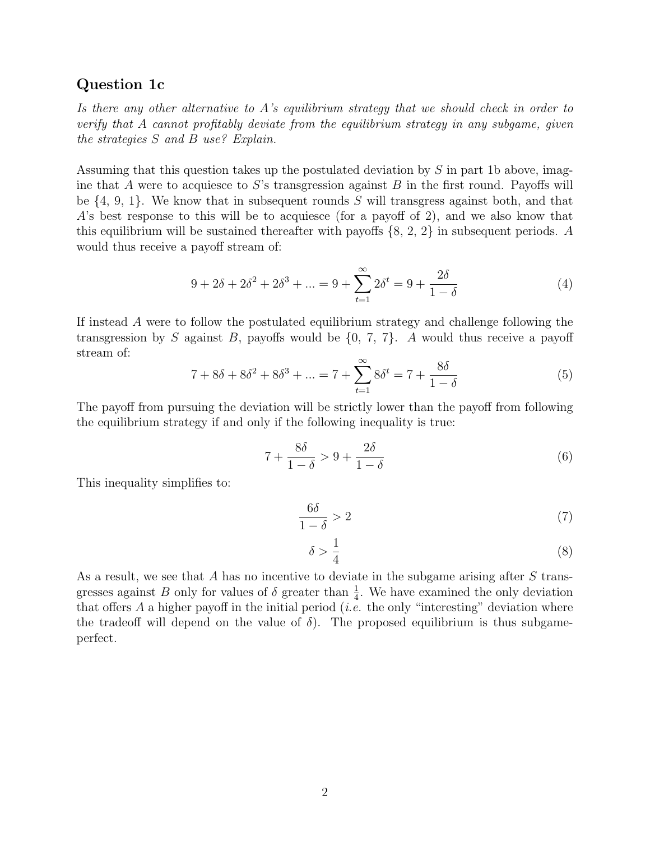#### Question 1c

Is there any other alternative to A's equilibrium strategy that we should check in order to verify that A cannot profitably deviate from the equilibrium strategy in any subgame, given the strategies S and B use? Explain.

Assuming that this question takes up the postulated deviation by S in part 1b above, imagine that A were to acquiesce to S's transgression against B in the first round. Payoffs will be  $\{4, 9, 1\}$ . We know that in subsequent rounds S will transgress against both, and that A's best response to this will be to acquiesce (for a payoff of 2), and we also know that this equilibrium will be sustained thereafter with payoffs  $\{8, 2, 2\}$  in subsequent periods. A would thus receive a payoff stream of:

$$
9 + 2\delta + 2\delta^2 + 2\delta^3 + \dots = 9 + \sum_{t=1}^{\infty} 2\delta^t = 9 + \frac{2\delta}{1 - \delta}
$$
 (4)

If instead A were to follow the postulated equilibrium strategy and challenge following the transgression by S against B, payoffs would be  $\{0, 7, 7\}$ . A would thus receive a payoff stream of:

$$
7 + 8\delta + 8\delta^2 + 8\delta^3 + \dots = 7 + \sum_{t=1}^{\infty} 8\delta^t = 7 + \frac{8\delta}{1 - \delta}
$$
 (5)

The payoff from pursuing the deviation will be strictly lower than the payoff from following the equilibrium strategy if and only if the following inequality is true:

$$
7 + \frac{8\delta}{1 - \delta} > 9 + \frac{2\delta}{1 - \delta} \tag{6}
$$

This inequality simplifies to:

$$
\frac{6\delta}{1-\delta} > 2\tag{7}
$$

$$
\delta > \frac{1}{4} \tag{8}
$$

As a result, we see that A has no incentive to deviate in the subgame arising after S transgresses against B only for values of  $\delta$  greater than  $\frac{1}{4}$ . We have examined the only deviation that offers A a higher payoff in the initial period (*i.e.* the only "interesting" deviation where the tradeoff will depend on the value of  $\delta$ ). The proposed equilibrium is thus subgameperfect.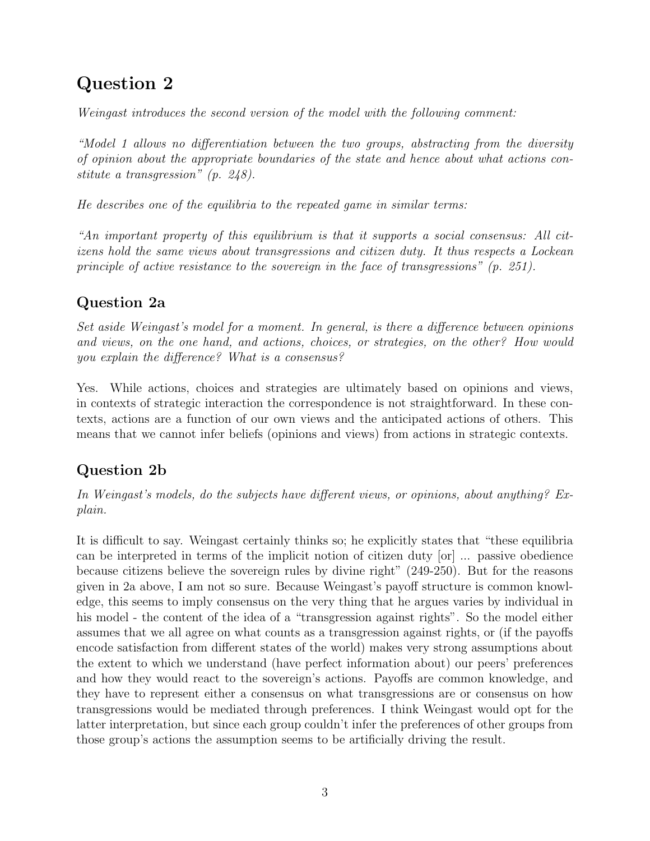# Question 2

Weingast introduces the second version of the model with the following comment:

"Model 1 allows no differentiation between the two groups, abstracting from the diversity of opinion about the appropriate boundaries of the state and hence about what actions constitute a transgression" (p. 248).

He describes one of the equilibria to the repeated game in similar terms:

"An important property of this equilibrium is that it supports a social consensus: All citizens hold the same views about transgressions and citizen duty. It thus respects a Lockean principle of active resistance to the sovereign in the face of transgressions" (p. 251).

## Question 2a

Set aside Weingast's model for a moment. In general, is there a difference between opinions and views, on the one hand, and actions, choices, or strategies, on the other? How would you explain the difference? What is a consensus?

Yes. While actions, choices and strategies are ultimately based on opinions and views, in contexts of strategic interaction the correspondence is not straightforward. In these contexts, actions are a function of our own views and the anticipated actions of others. This means that we cannot infer beliefs (opinions and views) from actions in strategic contexts.

## Question 2b

In Weingast's models, do the subjects have different views, or opinions, about anything? Explain.

It is difficult to say. Weingast certainly thinks so; he explicitly states that "these equilibria can be interpreted in terms of the implicit notion of citizen duty [or] ... passive obedience because citizens believe the sovereign rules by divine right" (249-250). But for the reasons given in 2a above, I am not so sure. Because Weingast's payoff structure is common knowledge, this seems to imply consensus on the very thing that he argues varies by individual in his model - the content of the idea of a "transgression against rights". So the model either assumes that we all agree on what counts as a transgression against rights, or (if the payoffs encode satisfaction from different states of the world) makes very strong assumptions about the extent to which we understand (have perfect information about) our peers' preferences and how they would react to the sovereign's actions. Payoffs are common knowledge, and they have to represent either a consensus on what transgressions are or consensus on how transgressions would be mediated through preferences. I think Weingast would opt for the latter interpretation, but since each group couldn't infer the preferences of other groups from those group's actions the assumption seems to be artificially driving the result.